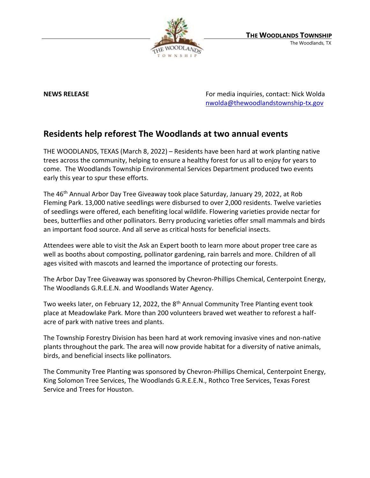

**NEWS RELEASE** For media inquiries, contact: Nick Wolda **NEWS** RELEASE [nwolda@thewoodlandstownship-tx.gov](mailto:nwolda@thewoodlandstownship-tx.gov)

## **Residents help reforest The Woodlands at two annual events**

THE WOODLANDS, TEXAS (March 8, 2022) – Residents have been hard at work planting native trees across the community, helping to ensure a healthy forest for us all to enjoy for years to come. The Woodlands Township Environmental Services Department produced two events early this year to spur these efforts.

The 46th Annual Arbor Day Tree Giveaway took place Saturday, January 29, 2022, at Rob Fleming Park. 13,000 native seedlings were disbursed to over 2,000 residents. Twelve varieties of seedlings were offered, each benefiting local wildlife. Flowering varieties provide nectar for bees, butterflies and other pollinators. Berry producing varieties offer small mammals and birds an important food source. And all serve as critical hosts for beneficial insects.

Attendees were able to visit the Ask an Expert booth to learn more about proper tree care as well as booths about composting, pollinator gardening, rain barrels and more. Children of all ages visited with mascots and learned the importance of protecting our forests.

The Arbor Day Tree Giveaway was sponsored by Chevron-Phillips Chemical, Centerpoint Energy, The Woodlands G.R.E.E.N. and Woodlands Water Agency.

Two weeks later, on February 12, 2022, the 8<sup>th</sup> Annual Community Tree Planting event took place at Meadowlake Park. More than 200 volunteers braved wet weather to reforest a halfacre of park with native trees and plants.

The Township Forestry Division has been hard at work removing invasive vines and non-native plants throughout the park. The area will now provide habitat for a diversity of native animals, birds, and beneficial insects like pollinators.

The Community Tree Planting was sponsored by Chevron-Phillips Chemical, Centerpoint Energy, King Solomon Tree Services, The Woodlands G.R.E.E.N., Rothco Tree Services, Texas Forest Service and Trees for Houston.